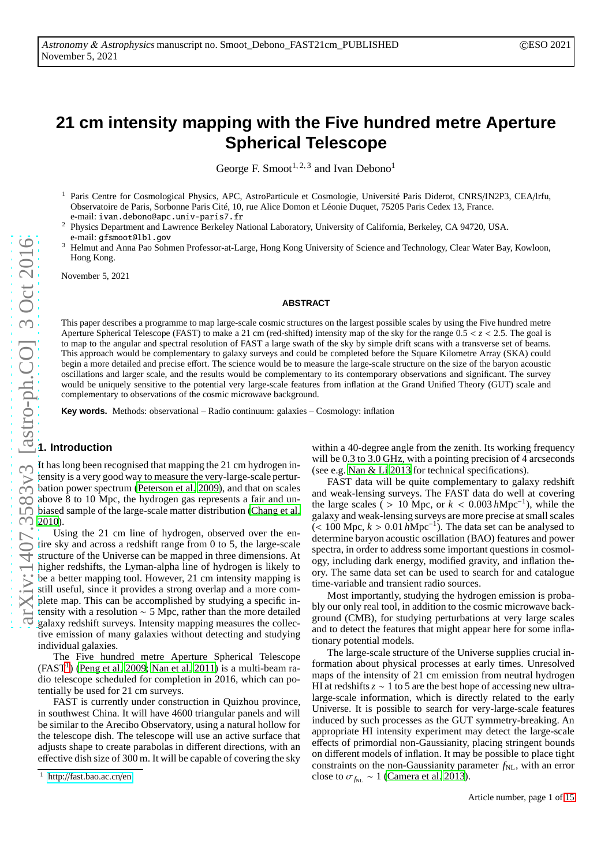# **21 cm intensity mapping with the Five hundred metre Aperture Spherical Telescope**

George F. Smoot<sup>1, 2, 3</sup> and Ivan Debono<sup>1</sup>

<sup>1</sup> Paris Centre for Cosmological Physics, APC, AstroParticule et Cosmologie, Université Paris Diderot, CNRS/IN2P3, CEA/lrfu, Observatoire de Paris, Sorbonne Paris Cité, 10, rue Alice Domon et Léonie Duquet, 75205 Paris Cedex 13, France. e-mail: ivan.debono@apc.univ-paris7.fr

<sup>2</sup> Physics Department and Lawrence Berkeley National Laboratory, University of California, Berkeley, CA 94720, USA. e-mail: gfsmoot@lbl.gov

<sup>3</sup> Helmut and Anna Pao Sohmen Professor-at-Large, Hong Kong University of Science and Technology, Clear Water Bay, Kowloon, Hong Kong.

November 5, 2021

## **ABSTRACT**

This paper describes a programme to map large-scale cosmic structures on the largest possible scales by using the Five hundred metre Aperture Spherical Telescope (FAST) to make a 21 cm (red-shifted) intensity map of the sky for the range 0.5 < *z* < 2.5. The goal is to map to the angular and spectral resolution of FAST a large swath of the sky by simple drift scans with a transverse set of beams. This approach would be complementary to galaxy surveys and could be completed before the Square Kilometre Array (SKA) could begin a more detailed and precise effort. The science would be to measure the large-scale structure on the size of the baryon acoustic oscillations and larger scale, and the results would be complementary to its contemporary observations and significant. The survey would be uniquely sensitive to the potential very large-scale features from inflation at the Grand Unified Theory (GUT) scale and complementary to observations of the cosmic microwave background.

**Key words.** Methods: observational – Radio continuum: galaxies – Cosmology: inflation

## **1. Introduction**

It has long been recognised that mapping the 21 cm hydrogen intensity is a very good way to measure the very-large-scale perturbation power spectrum [\(Peterson et al. 2009\)](#page-14-0), and that on scales above 8 to 10 Mpc, the hydrogen gas represents a fair and unbiased sample of the large-scale matter distribution [\(Chang et al.](#page-13-0) [2010\)](#page-13-0).

Using the 21 cm line of hydrogen, observed over the entire sky and across a redshift range from 0 to 5, the large-scale structure of the Universe can be mapped in three dimensions. At higher redshifts, the Lyman-alpha line of hydrogen is likely to be a better mapping tool. However, 21 cm intensity mapping is still useful, since it provides a strong overlap and a more complete map. This can be accomplished by studying a specific intensity with a resolution ∼ 5 Mpc, rather than the more detailed galaxy redshift surveys. Intensity mapping measures the collective emission of many galaxies without detecting and studying individual galaxies.

The Five hundred metre Aperture Spherical Telescope  $(FAST<sup>1</sup>)$  $(FAST<sup>1</sup>)$  $(FAST<sup>1</sup>)$  [\(Peng et al. 2009;](#page-14-1) [Nan et al. 2011\)](#page-13-1) is a multi-beam radio telescope scheduled for completion in 2016, which can potentially be used for 21 cm surveys.

FAST is currently under construction in Quizhou province, in southwest China. It will have 4600 triangular panels and will be similar to the Arecibo Observatory, using a natural hollow for the telescope dish. The telescope will use an active surface that adjusts shape to create parabolas in different directions, with an effective dish size of 300 m. It will be capable of covering the sky within a 40-degree angle from the zenith. Its working frequency will be 0.3 to 3.0 GHz, with a pointing precision of 4 arcseconds (see e.g. [Nan & Li 2013](#page-13-2) for technical specifications).

FAST data will be quite complementary to galaxy redshift and weak-lensing surveys. The FAST data do well at covering the large scales ( > 10 Mpc, or  $k < 0.003 h \text{Mpc}^{-1}$ ), while the galaxy and weak-lensing surveys are more precise at small scales (< 100 Mpc, *k* > 0.01 *h*Mpc−<sup>1</sup> ). The data set can be analysed to determine baryon acoustic oscillation (BAO) features and power spectra, in order to address some important questions in cosmology, including dark energy, modified gravity, and inflation theory. The same data set can be used to search for and catalogue time-variable and transient radio sources.

Most importantly, studying the hydrogen emission is probably our only real tool, in addition to the cosmic microwave background (CMB), for studying perturbations at very large scales and to detect the features that might appear here for some inflationary potential models.

The large-scale structure of the Universe supplies crucial information about physical processes at early times. Unresolved maps of the intensity of 21 cm emission from neutral hydrogen HI at redshifts*z* ∼ 1 to 5 are the best hope of accessing new ultralarge-scale information, which is directly related to the early Universe. It is possible to search for very-large-scale features induced by such processes as the GUT symmetry-breaking. An appropriate HI intensity experiment may detect the large-scale effects of primordial non-Gaussianity, placing stringent bounds on different models of inflation. It may be possible to place tight constraints on the non-Gaussianity parameter  $f_{NL}$ , with an error close to  $\sigma_{f_{NL}} \sim 1$  [\(Camera et al. 2013\)](#page-13-3).

<span id="page-0-0"></span><sup>1</sup> http://[fast.bao.ac.cn](http://fast.bao.ac.cn/en)/en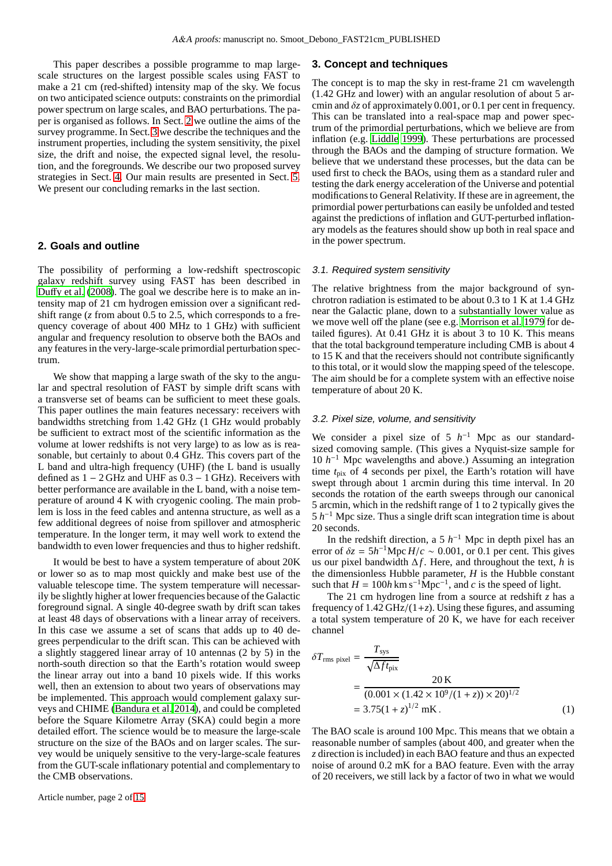This paper describes a possible programme to map largescale structures on the largest possible scales using FAST to make a 21 cm (red-shifted) intensity map of the sky. We focus on two anticipated science outputs: constraints on the primordial power spectrum on large scales, and BAO perturbations. The paper is organised as follows. In Sect. [2](#page-1-0) we outline the aims of the survey programme. In Sect. [3](#page-1-1) we describe the techniques and the instrument properties, including the system sensitivity, the pixel size, the drift and noise, the expected signal level, the resolution, and the foregrounds. We describe our two proposed survey strategies in Sect. [4.](#page-5-0) Our main results are presented in Sect. [5.](#page-6-0) We present our concluding remarks in the last section.

# <span id="page-1-0"></span>**2. Goals and outline**

The possibility of performing a low-redshift spectroscopic galaxy redshift survey using FAST has been described in Duff[y et al. \(2008\)](#page-13-4). The goal we describe here is to make an intensity map of 21 cm hydrogen emission over a significant redshift range (*z* from about 0.5 to 2.5, which corresponds to a frequency coverage of about 400 MHz to 1 GHz) with sufficient angular and frequency resolution to observe both the BAOs and any features in the very-large-scale primordial perturbation spectrum.

We show that mapping a large swath of the sky to the angular and spectral resolution of FAST by simple drift scans with a transverse set of beams can be sufficient to meet these goals. This paper outlines the main features necessary: receivers with bandwidths stretching from 1.42 GHz (1 GHz would probably be sufficient to extract most of the scientific information as the volume at lower redshifts is not very large) to as low as is reasonable, but certainly to about 0.4 GHz. This covers part of the L band and ultra-high frequency (UHF) (the L band is usually defined as  $1 - 2$  GHz and UHF as  $0.3 - 1$  GHz). Receivers with better performance are available in the L band, with a noise temperature of around 4 K with cryogenic cooling. The main problem is loss in the feed cables and antenna structure, as well as a few additional degrees of noise from spillover and atmospheric temperature. In the longer term, it may well work to extend the bandwidth to even lower frequencies and thus to higher redshift.

It would be best to have a system temperature of about 20K or lower so as to map most quickly and make best use of the valuable telescope time. The system temperature will necessarily be slightly higher at lower frequencies because of the Galactic foreground signal. A single 40-degree swath by drift scan takes at least 48 days of observations with a linear array of receivers. In this case we assume a set of scans that adds up to 40 degrees perpendicular to the drift scan. This can be achieved with a slightly staggered linear array of 10 antennas (2 by 5) in the north-south direction so that the Earth's rotation would sweep the linear array out into a band 10 pixels wide. If this works well, then an extension to about two years of observations may be implemented. This approach would complement galaxy surveys and CHIME [\(Bandura et al. 2014\)](#page-13-5), and could be completed before the Square Kilometre Array (SKA) could begin a more detailed effort. The science would be to measure the large-scale structure on the size of the BAOs and on larger scales. The survey would be uniquely sensitive to the very-large-scale features from the GUT-scale inflationary potential and complementary to the CMB observations.

Article number, page 2 of 15

## <span id="page-1-1"></span>**3. Concept and techniques**

The concept is to map the sky in rest-frame 21 cm wavelength (1.42 GHz and lower) with an angular resolution of about 5 arcmin and δ*z* of approximately 0.001, or 0.1 per cent in frequency. This can be translated into a real-space map and power spectrum of the primordial perturbations, which we believe are from inflation (e.g. [Liddle 1999\)](#page-13-6). These perturbations are processed through the BAOs and the damping of structure formation. We believe that we understand these processes, but the data can be used first to check the BAOs, using them as a standard ruler and testing the dark energy acceleration of the Universe and potential modifications to General Relativity. If these are in agreement, the primordial power perturbations can easily be unfolded and tested against the predictions of inflation and GUT-perturbed inflationary models as the features should show up both in real space and in the power spectrum.

#### 3.1. Required system sensitivity

The relative brightness from the major background of synchrotron radiation is estimated to be about 0.3 to 1 K at 1.4 GHz near the Galactic plane, down to a substantially lower value as we move well off the plane (see e.g. [Morrison et al. 1979](#page-13-7) for detailed figures). At 0.41 GHz it is about 3 to 10 K. This means that the total background temperature including CMB is about 4 to 15 K and that the receivers should not contribute significantly to this total, or it would slow the mapping speed of the telescope. The aim should be for a complete system with an effective noise temperature of about 20 K.

## 3.2. Pixel size, volume, and sensitivity

We consider a pixel size of 5  $h^{-1}$  Mpc as our standardsized comoving sample. (This gives a Nyquist-size sample for 10 *h* <sup>−</sup><sup>1</sup> Mpc wavelengths and above.) Assuming an integration time *t*pix of 4 seconds per pixel, the Earth's rotation will have swept through about 1 arcmin during this time interval. In 20 seconds the rotation of the earth sweeps through our canonical 5 arcmin, which in the redshift range of 1 to 2 typically gives the  $5 h<sup>-1</sup>$  Mpc size. Thus a single drift scan integration time is about 20 seconds.

In the redshift direction, a 5  $h^{-1}$  Mpc in depth pixel has an error of  $\delta z = 5h^{-1}Mpc H/c \sim 0.001$ , or 0.1 per cent. This gives us our pixel bandwidth  $\Delta f$ . Here, and throughout the text, *h* is the dimensionless Hubble parameter, *H* is the Hubble constant such that  $H = 100h \text{ km s}^{-1} \text{Mpc}^{-1}$ , and *c* is the speed of light.

The 21 cm hydrogen line from a source at redshift *z* has a frequency of  $1.42 \text{ GHz}/(1+z)$ . Using these figures, and assuming a total system temperature of 20 K, we have for each receiver channel

$$
\delta T_{\text{rms pixel}} = \frac{T_{\text{sys}}}{\sqrt{\Delta f t_{\text{pix}}}}
$$
  
= 
$$
\frac{20 \text{ K}}{(0.001 \times (1.42 \times 10^9/(1+z)) \times 20)^{1/2}}
$$
  
= 3.75(1+z)<sup>1/2</sup> mK. (1)

The BAO scale is around 100 Mpc. This means that we obtain a reasonable number of samples (about 400, and greater when the *z* direction is included) in each BAO feature and thus an expected noise of around 0.2 mK for a BAO feature. Even with the array of 20 receivers, we still lack by a factor of two in what we would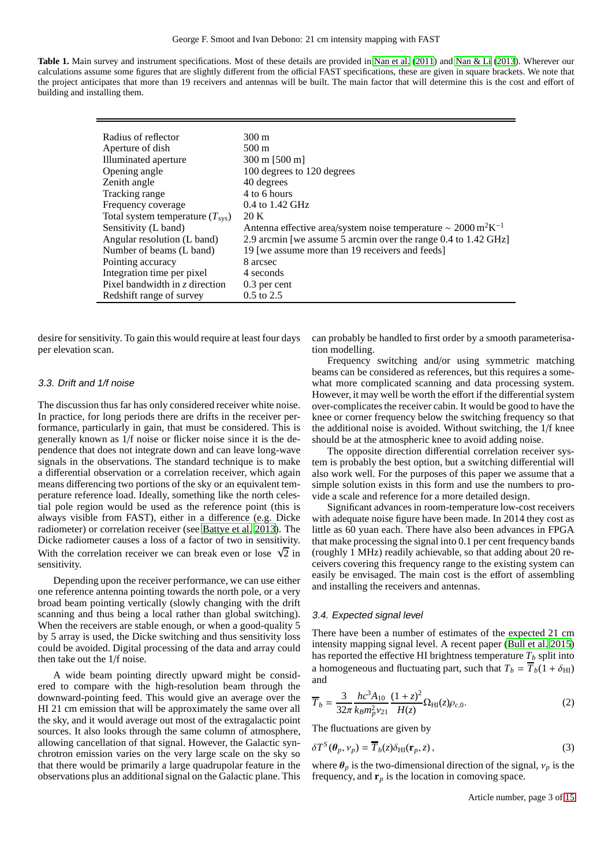| <b>Table 1.</b> Main survey and instrument specifications. Most of these details are provided in Nan et al. (2011) and Nan & Li (2013). Wherever our |  |
|------------------------------------------------------------------------------------------------------------------------------------------------------|--|
| calculations assume some figures that are slightly different from the official FAST specifications, these are given in square brackets. We note that |  |
| the project anticipates that more than 19 receivers and antennas will be built. The main factor that will determine this is the cost and effort of   |  |
| building and installing them.                                                                                                                        |  |

| Radius of reflector                      | 300 m                                                                                 |
|------------------------------------------|---------------------------------------------------------------------------------------|
| Aperture of dish                         | $500 \text{ m}$                                                                       |
| Illuminated aperture                     | $300 \text{ m}$ [500 m]                                                               |
| Opening angle                            | 100 degrees to 120 degrees                                                            |
| Zenith angle                             | 40 degrees                                                                            |
| Tracking range                           | 4 to 6 hours                                                                          |
| Frequency coverage                       | $0.4$ to $1.42$ GHz                                                                   |
| Total system temperature $(T_{\rm sys})$ | 20 K                                                                                  |
| Sensitivity (L band)                     | Antenna effective area/system noise temperature $\sim 2000 \text{ m}^2 \text{K}^{-1}$ |
| Angular resolution (L band)              | 2.9 arcmin [we assume 5 arcmin over the range 0.4 to 1.42 GHz]                        |
| Number of beams (L band)                 | 19 [we assume more than 19 receivers and feeds]                                       |
| Pointing accuracy                        | 8 arcsec                                                                              |
| Integration time per pixel               | 4 seconds                                                                             |
| Pixel bandwidth in z direction           | 0.3 per cent                                                                          |
| Redshift range of survey                 | $0.5$ to 2.5                                                                          |

desire for sensitivity. To gain this would require at least four days per elevation scan.

#### 3.3. Drift and 1/f noise

The discussion thus far has only considered receiver white noise. In practice, for long periods there are drifts in the receiver performance, particularly in gain, that must be considered. This is generally known as 1/f noise or flicker noise since it is the dependence that does not integrate down and can leave long-wave signals in the observations. The standard technique is to make a differential observation or a correlation receiver, which again means differencing two portions of the sky or an equivalent temperature reference load. Ideally, something like the north celestial pole region would be used as the reference point (this is always visible from FAST), either in a difference (e.g. Dicke radiometer) or correlation receiver (see [Battye et al. 2013\)](#page-13-8). The Dicke radiometer causes a loss of a factor of two in sensitivity. With the correlation receiver we can break even or lose  $\sqrt{2}$  in sensitivity.

Depending upon the receiver performance, we can use either one reference antenna pointing towards the north pole, or a very broad beam pointing vertically (slowly changing with the drift scanning and thus being a local rather than global switching). When the receivers are stable enough, or when a good-quality 5 by 5 array is used, the Dicke switching and thus sensitivity loss could be avoided. Digital processing of the data and array could then take out the 1/f noise.

A wide beam pointing directly upward might be considered to compare with the high-resolution beam through the downward-pointing feed. This would give an average over the HI 21 cm emission that will be approximately the same over all the sky, and it would average out most of the extragalactic point sources. It also looks through the same column of atmosphere, allowing cancellation of that signal. However, the Galactic synchrotron emission varies on the very large scale on the sky so that there would be primarily a large quadrupolar feature in the observations plus an additional signal on the Galactic plane. This can probably be handled to first order by a smooth parameterisation modelling.

Frequency switching and/or using symmetric matching beams can be considered as references, but this requires a somewhat more complicated scanning and data processing system. However, it may well be worth the effort if the differential system over-complicates the receiver cabin. It would be good to have the knee or corner frequency below the switching frequency so that the additional noise is avoided. Without switching, the 1/f knee should be at the atmospheric knee to avoid adding noise.

The opposite direction differential correlation receiver system is probably the best option, but a switching differential will also work well. For the purposes of this paper we assume that a simple solution exists in this form and use the numbers to provide a scale and reference for a more detailed design.

Significant advances in room-temperature low-cost receivers with adequate noise figure have been made. In 2014 they cost as little as 60 yuan each. There have also been advances in FPGA that make processing the signal into 0.1 per cent frequency bands (roughly 1 MHz) readily achievable, so that adding about 20 receivers covering this frequency range to the existing system can easily be envisaged. The main cost is the effort of assembling and installing the receivers and antennas.

#### 3.4. Expected signal level

There have been a number of estimates of the expected 21 cm intensity mapping signal level. A recent paper [\(Bull et al. 2015](#page-13-9)) has reported the effective HI brightness temperature  $T_b$  split into a homogeneous and fluctuating part, such that  $T_b = \overline{T}_b(1 + \delta_{\text{HI}})$ and

$$
\overline{T}_b = \frac{3}{32\pi} \frac{hc^3 A_{10}}{k_B m_p^2 v_{21}} \frac{(1+z)^2}{H(z)} \Omega_{\text{HI}}(z) \rho_{c,0}.
$$
 (2)

The fluctuations are given by

$$
\delta T^{S}(\theta_{p}, \nu_{p}) = \overline{T}_{b}(z)\delta_{\mathrm{HI}}(\mathbf{r}_{p}, z), \qquad (3)
$$

where  $\theta_p$  is the two-dimensional direction of the signal,  $v_p$  is the frequency, and  $\mathbf{r}_p$  is the location in comoving space.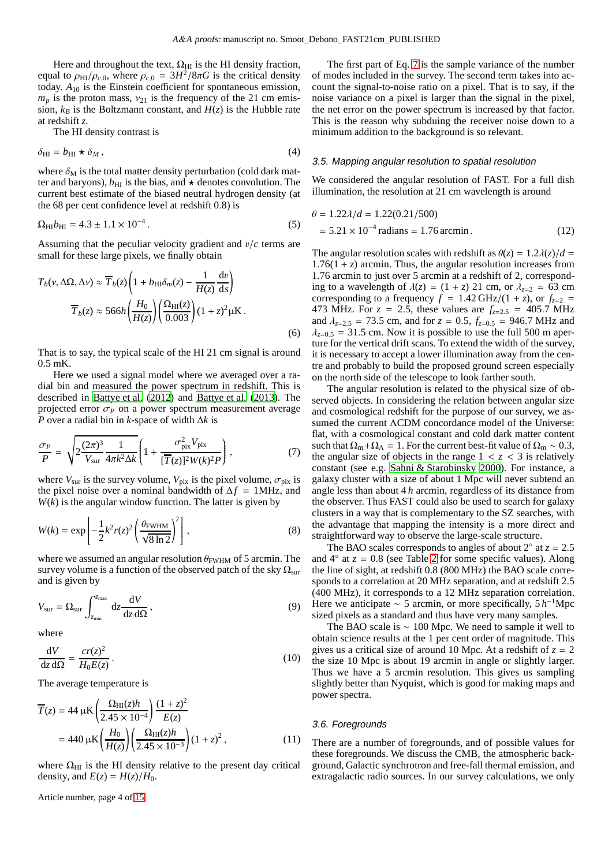Here and throughout the text,  $\Omega_{\rm HI}$  is the HI density fraction, equal to  $\rho_{\text{HI}}/ \rho_{c,0}$ , where  $\rho_{c,0} = 3H^2/8\pi G$  is the critical density today. *A*<sup>10</sup> is the Einstein coefficient for spontaneous emission,  $m_p$  is the proton mass,  $v_{21}$  is the frequency of the 21 cm emission,  $k_B$  is the Boltzmann constant, and  $H(z)$  is the Hubble rate at redshift *z*.

The HI density contrast is

$$
\delta_{\rm HI} = b_{\rm HI} \star \delta_M \,, \tag{4}
$$

where  $\delta_M$  is the total matter density perturbation (cold dark matter and baryons),  $b_{\text{HI}}$  is the bias, and  $\star$  denotes convolution. The current best estimate of the biased neutral hydrogen density (at the 68 per cent confidence level at redshift 0.8) is

$$
\Omega_{\rm HI} b_{\rm HI} = 4.3 \pm 1.1 \times 10^{-4} \,. \tag{5}
$$

Assuming that the peculiar velocity gradient and v/*c* terms are small for these large pixels, we finally obtain

$$
T_b(\nu, \Delta\Omega, \Delta\nu) \approx \overline{T}_b(z) \left( 1 + b_{\rm HI}\delta_m(z) - \frac{1}{H(z)}\frac{\mathrm{d}\nu}{\mathrm{d}s} \right)
$$

$$
\overline{T}_b(z) \approx 566h \left( \frac{H_0}{H(z)} \right) \left( \frac{\Omega_{\rm HI}(z)}{0.003} \right) (1 + z)^2 \mu \mathrm{K}.
$$
(6)

That is to say, the typical scale of the HI 21 cm signal is around 0.5 mK.

Here we used a signal model where we averaged over a radial bin and measured the power spectrum in redshift. This is described in [Battye et al. \(2012\)](#page-13-10) and [Battye et al.](#page-13-8) [\(2013\)](#page-13-8). The projected error  $\sigma_P$  on a power spectrum measurement average *P* over a radial bin in *k*-space of width ∆*k* is

$$
\frac{\sigma_P}{P} = \sqrt{2 \frac{(2\pi)^3}{V_{\text{sur}}} \frac{1}{4\pi k^2 \Delta k} \left(1 + \frac{\sigma_{\text{pix}}^2 V_{\text{pix}}}{[\overline{T}(z)]^2 W(k)^2 P}\right)},\tag{7}
$$

where  $V_{\text{sur}}$  is the survey volume,  $V_{\text{pix}}$  is the pixel volume,  $\sigma_{\text{pix}}$  is the pixel noise over a nominal bandwidth of ∆*f* = 1MHz, and  $W(k)$  is the angular window function. The latter is given by

$$
W(k) = \exp\left[-\frac{1}{2}k^2r(z)^2\left(\frac{\theta_{\text{FWHM}}}{\sqrt{8\ln 2}}\right)^2\right],\tag{8}
$$

where we assumed an angular resolution  $\theta_{\text{FWHM}}$  of 5 arcmin. The survey volume is a function of the observed patch of the sky  $\Omega_{\text{sur}}$ and is given by

$$
V_{\text{sur}} = \Omega_{\text{sur}} \int_{z_{\text{min}}}^{z_{\text{max}}} dz \frac{dV}{dz d\Omega}, \qquad (9)
$$

where

$$
\frac{\mathrm{d}V}{\mathrm{d}z\,\mathrm{d}\Omega} = \frac{cr(z)^2}{H_0E(z)}\,. \tag{10}
$$

The average temperature is

$$
\overline{T}(z) = 44 \,\mu\text{K} \left( \frac{\Omega_{\text{HI}}(z)h}{2.45 \times 10^{-4}} \right) \frac{(1+z)^2}{E(z)} \n= 440 \,\mu\text{K} \left( \frac{H_0}{H(z)} \right) \left( \frac{\Omega_{\text{HI}}(z)h}{2.45 \times 10^{-3}} \right) (1+z)^2, \tag{11}
$$

where  $\Omega_{\text{HI}}$  is the HI density relative to the present day critical density, and  $E(z) = H(z)/H_0$ .

Article number, page 4 of 15

The first part of Eq. [7](#page-3-0) is the sample variance of the number of modes included in the survey. The second term takes into account the signal-to-noise ratio on a pixel. That is to say, if the noise variance on a pixel is larger than the signal in the pixel, the net error on the power spectrum is increased by that factor. This is the reason why subduing the receiver noise down to a minimum addition to the background is so relevant.

# 3.5. Mapping angular resolution to spatial resolution

We considered the angular resolution of FAST. For a full dish illumination, the resolution at 21 cm wavelength is around

$$
\theta = 1.22\lambda/d = 1.22(0.21/500)
$$
  
= 5.21 × 10<sup>-4</sup> radians = 1.76 arcmin. (12)

The angular resolution scales with redshift as  $\theta(z) = 1.2\lambda(z)/d$  =  $1.76(1 + z)$  arcmin. Thus, the angular resolution increases from 1.76 arcmin to just over 5 arcmin at a redshift of 2, corresponding to a wavelength of  $\lambda(z) = (1 + z)$  21 cm, or  $\lambda_{z=2} = 63$  cm corresponding to a frequency  $f = 1.42 \text{ GHz}/(1 + z)$ , or  $f_{z=2}$ 473 MHz. For  $z = 2.5$ , these values are  $f_{z=2.5} = 405.7$  MHz and  $\lambda_{z=2.5}$  = 73.5 cm, and for  $z = 0.5$ ,  $f_{z=0.5}$  = 946.7 MHz and  $\lambda_{z=0.5}$  = 31.5 cm. Now it is possible to use the full 500 m aperture for the vertical drift scans. To extend the width of the survey, it is necessary to accept a lower illumination away from the centre and probably to build the proposed ground screen especially on the north side of the telescope to look farther south.

<span id="page-3-0"></span>The angular resolution is related to the physical size of observed objects. In considering the relation between angular size and cosmological redshift for the purpose of our survey, we assumed the current ΛCDM concordance model of the Universe: flat, with a cosmological constant and cold dark matter content such that  $\Omega_m + \Omega_\Lambda = 1$ . For the current best-fit value of  $\Omega_m \sim 0.3$ , the angular size of objects in the range  $1 < z < 3$  is relatively constant (see e.g. [Sahni & Starobinsky 2000\)](#page-14-2). For instance, a galaxy cluster with a size of about 1 Mpc will never subtend an angle less than about 4 *h* arcmin, regardless of its distance from the observer. Thus FAST could also be used to search for galaxy clusters in a way that is complementary to the SZ searches, with the advantage that mapping the intensity is a more direct and straightforward way to observe the large-scale structure.

The BAO scales corresponds to angles of about  $2°$  at  $z = 2.5$ and  $4°$  at  $z = 0.8$  (see Table [2](#page-4-0) for some specific values). Along the line of sight, at redshift 0.8 (800 MHz) the BAO scale corresponds to a correlation at 20 MHz separation, and at redshift 2.5 (400 MHz), it corresponds to a 12 MHz separation correlation. Here we anticipate  $\sim$  5 arcmin, or more specifically, 5 *h*<sup>-1</sup>Mpc sized pixels as a standard and thus have very many samples.

The BAO scale is  $\sim 100$  Mpc. We need to sample it well to obtain science results at the 1 per cent order of magnitude. This gives us a critical size of around 10 Mpc. At a redshift of  $z = 2$ the size 10 Mpc is about 19 arcmin in angle or slightly larger. Thus we have a 5 arcmin resolution. This gives us sampling slightly better than Nyquist, which is good for making maps and power spectra.

#### 3.6. Foregrounds

There are a number of foregrounds, and of possible values for these foregrounds. We discuss the CMB, the atmospheric background, Galactic synchrotron and free-fall thermal emission, and extragalactic radio sources. In our survey calculations, we only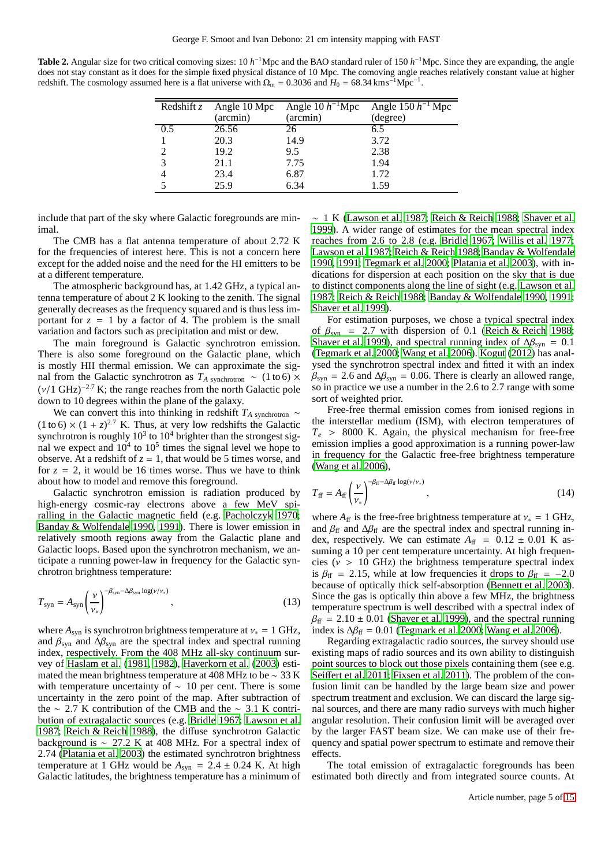<span id="page-4-0"></span>**Table 2.** Angular size for two critical comoving sizes: 10 *h*<sup>-1</sup>Mpc and the BAO standard ruler of 150 *h*<sup>-1</sup>Mpc. Since they are expanding, the angle does not stay constant as it does for the simple fixed physical distance of 10 Mpc. The comoving angle reaches relatively constant value at higher redshift. The cosmology assumed here is a flat universe with  $\Omega_{\rm m} = 0.3036$  and  $H_0 = 68.34$  km s<sup>-1</sup>Mpc<sup>-1</sup>.

| Redshift $z$ | Angle 10 Mpc | Angle 10 $h^{-1}$ Mpc | Angle 150 $h^{-1}$ Mpc |
|--------------|--------------|-----------------------|------------------------|
|              | (arcmin)     | (arcmin)              | (degree)               |
| 0.5          | 26.56        | 26                    | 6.5                    |
|              | 20.3         | 14.9                  | 3.72                   |
|              | 19.2         | 9.5                   | 2.38                   |
| 3            | 21.1         | 7.75                  | 1.94                   |
|              | 23.4         | 6.87                  | 1.72                   |
|              | 25.9         | 6.34                  | 1.59                   |

include that part of the sky where Galactic foregrounds are minimal.

The CMB has a flat antenna temperature of about 2.72 K for the frequencies of interest here. This is not a concern here except for the added noise and the need for the HI emitters to be at a different temperature.

The atmospheric background has, at 1.42 GHz, a typical antenna temperature of about 2 K looking to the zenith. The signal generally decreases as the frequency squared and is thus less important for  $z = 1$  by a factor of 4. The problem is the small variation and factors such as precipitation and mist or dew.

The main foreground is Galactic synchrotron emission. There is also some foreground on the Galactic plane, which is mostly HII thermal emission. We can approximate the signal from the Galactic synchrotron as  $T_A$  synchrotron  $\sim$  (1 to 6)  $\times$  $(v/1 \text{ GHz})^{-2.7}$  K; the range reaches from the north Galactic pole down to 10 degrees within the plane of the galaxy.

We can convert this into thinking in redshift  $T_A$  synchrotron  $\sim$  $(1 \text{ to } 6) \times (1 + z)^{2.7}$  K. Thus, at very low redshifts the Galactic synchrotron is roughly  $10^3$  to  $10^4$  brighter than the strongest signal we expect and  $10^4$  to  $10^5$  times the signal level we hope to observe. At a redshift of  $z = 1$ , that would be 5 times worse, and for  $z = 2$ , it would be 16 times worse. Thus we have to think about how to model and remove this foreground.

Galactic synchrotron emission is radiation produced by high-energy cosmic-ray electrons above a few MeV spiralling in the Galactic magnetic field (e.g. [Pacholczyk 1970](#page-13-11); [Banday & Wolfendale 1990,](#page-13-12) [1991\)](#page-13-13). There is lower emission in relatively smooth regions away from the Galactic plane and Galactic loops. Based upon the synchrotron mechanism, we anticipate a running power-law in frequency for the Galactic synchrotron brightness temperature:

$$
T_{\rm syn} = A_{\rm syn} \left(\frac{\nu}{\nu_*}\right)^{-\beta_{\rm syn} - \Delta\beta_{\rm syn} \log(\nu/\nu_*)},\tag{13}
$$

where  $A_{syn}$  is synchrotron brightness temperature at  $v_* = 1$  GHz, and  $\beta_{syn}$  and  $\Delta\beta_{syn}$  are the spectral index and spectral running index, respectively. From the 408 MHz all-sky continuum survey of [Haslam et al. \(1981,](#page-13-14) [1982\)](#page-13-15), [Haverkorn et al.](#page-13-16) [\(2003\)](#page-13-16) estimated the mean brightness temperature at 408 MHz to be ∼ 33 K with temperature uncertainty of  $\sim$  10 per cent. There is some uncertainty in the zero point of the map. After subtraction of the ∼ 2.7 K contribution of the CMB and the ∼ 3.1 K contribution of extragalactic sources (e.g. [Bridle 1967;](#page-13-17) [Lawson et al.](#page-13-18) [1987;](#page-13-18) [Reich & Reich 1988\)](#page-14-3), the diffuse synchrotron Galactic background is ∼ 27.2 K at 408 MHz. For a spectral index of 2.74 [\(Platania et al. 2003\)](#page-14-4) the estimated synchrotron brightness temperature at 1 GHz would be  $A_{syn} = 2.4 \pm 0.24$  K. At high Galactic latitudes, the brightness temperature has a minimum of

∼ 1 K [\(Lawson et al. 1987;](#page-13-18) [Reich & Reich 1988;](#page-14-3) [Shaver et al.](#page-14-5) [1999\)](#page-14-5). A wider range of estimates for the mean spectral index reaches from 2.6 to 2.8 (e.g. [Bridle 1967;](#page-13-17) [Willis et al. 1977;](#page-14-6) [Lawson et al. 1987;](#page-13-18) [Reich & Reich 1988;](#page-14-3) [Banday & Wolfendale](#page-13-12) [1990,](#page-13-12) [1991;](#page-13-13) [Tegmark et al. 2000;](#page-14-7) [Platania et al. 2003\)](#page-14-4), with indications for dispersion at each position on the sky that is due to distinct components along the line of sight (e.g. [Lawson et al.](#page-13-18) [1987;](#page-13-18) [Reich & Reich 1988;](#page-14-3) [Banday & Wolfendale 1990,](#page-13-12) [1991;](#page-13-13) [Shaver et al. 1999\)](#page-14-5).

For estimation purposes, we chose a typical spectral index of  $\beta_{syn}$  = 2.7 with dispersion of 0.1 [\(Reich & Reich 1988;](#page-14-3) [Shaver et al. 1999\)](#page-14-5), and spectral running index of  $\Delta\beta_{syn} = 0.1$ [\(Tegmark et al. 2000](#page-14-7); [Wang et al. 2006\)](#page-14-8). [Kogut \(2012\)](#page-13-19) has analysed the synchrotron spectral index and fitted it with an index  $\beta_{syn}$  = 2.6 and  $\Delta\beta_{syn}$  = 0.06. There is clearly an allowed range, so in practice we use a number in the 2.6 to 2.7 range with some sort of weighted prior.

Free-free thermal emission comes from ionised regions in the interstellar medium (ISM), with electron temperatures of  $T_e$  > 8000 K. Again, the physical mechanism for free-free emission implies a good approximation is a running power-law in frequency for the Galactic free-free brightness temperature [\(Wang et al. 2006\)](#page-14-8),

$$
T_{\rm ff} = A_{\rm ff} \left(\frac{\nu}{\nu_*}\right)^{-\beta_{\rm ff} - \Delta\beta_{\rm ff} \log(\nu/\nu_*)},\tag{14}
$$

where  $A_{\text{ff}}$  is the free-free brightness temperature at  $v_* = 1$  GHz, and  $\beta_{\text{ff}}$  and  $\Delta\beta_{\text{ff}}$  are the spectral index and spectral running index, respectively. We can estimate  $A_{ff}$  =  $0.12 \pm 0.01$  K assuming a 10 per cent temperature uncertainty. At high frequencies ( $v > 10$  GHz) the brightness temperature spectral index is  $\beta_{\text{ff}}$  = 2.15, while at low frequencies it drops to  $\beta_{\text{ff}}$  = -2.0 because of optically thick self-absorption [\(Bennett et al.](#page-13-20) [2003\)](#page-13-20). Since the gas is optically thin above a few MHz, the brightness temperature spectrum is well described with a spectral index of  $\beta_{\text{ff}}$  = 2.10 ± 0.01 [\(Shaver et al. 1999](#page-14-5)), and the spectral running index is  $\Delta\beta_{\text{ff}} = 0.01$  [\(Tegmark et al. 2000;](#page-14-7) [Wang et al. 2006\)](#page-14-8).

Regarding extragalactic radio sources, the survey should use existing maps of radio sources and its own ability to distinguish point sources to block out those pixels containing them (see e.g. Seiff[ert et al. 2011;](#page-14-9) [Fixsen et al. 2011](#page-13-21)). The problem of the confusion limit can be handled by the large beam size and power spectrum treatment and exclusion. We can discard the large signal sources, and there are many radio surveys with much higher angular resolution. Their confusion limit will be averaged over by the larger FAST beam size. We can make use of their frequency and spatial power spectrum to estimate and remove their effects.

The total emission of extragalactic foregrounds has been estimated both directly and from integrated source counts. At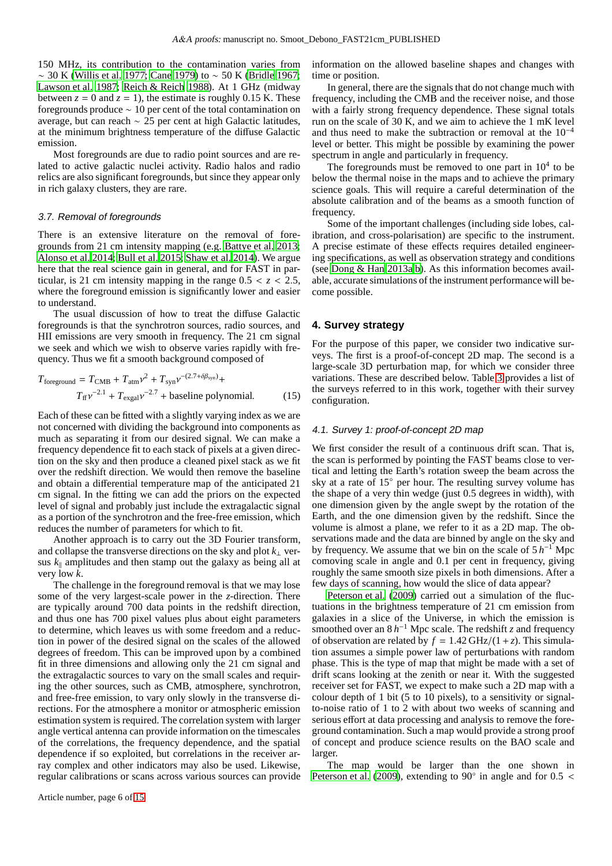150 MHz, its contribution to the contamination varies from ∼ 30 K [\(Willis et al. 1977;](#page-14-6) [Cane 1979\)](#page-13-22) to ∼ 50 K [\(Bridle 1967](#page-13-17); [Lawson et al. 1987;](#page-13-18) [Reich & Reich 1988\)](#page-14-3). At 1 GHz (midway between  $z = 0$  and  $z = 1$ ), the estimate is roughly 0.15 K. These foregrounds produce ∼ 10 per cent of the total contamination on average, but can reach ∼ 25 per cent at high Galactic latitudes, at the minimum brightness temperature of the diffuse Galactic emission.

Most foregrounds are due to radio point sources and are related to active galactic nuclei activity. Radio halos and radio relics are also significant foregrounds, but since they appear only in rich galaxy clusters, they are rare.

## 3.7. Removal of foregrounds

There is an extensive literature on the removal of foregrounds from 21 cm intensity mapping (e.g. [Battye et al. 2013](#page-13-8); [Alonso et al. 2014;](#page-13-23) [Bull et al. 2015;](#page-13-9) [Shaw et al. 2014\)](#page-14-10). We argue here that the real science gain in general, and for FAST in particular, is 21 cm intensity mapping in the range  $0.5 < z < 2.5$ , where the foreground emission is significantly lower and easier to understand.

The usual discussion of how to treat the diffuse Galactic foregrounds is that the synchrotron sources, radio sources, and HII emissions are very smooth in frequency. The 21 cm signal we seek and which we wish to observe varies rapidly with frequency. Thus we fit a smooth background composed of

$$
T_{\text{foreground}} = T_{\text{CMB}} + T_{\text{atm}} \nu^2 + T_{\text{syn}} \nu^{-(2.7 + \delta \beta_{\text{syn}})} +
$$
  

$$
T_{\text{ff}} \nu^{-2.1} + T_{\text{exgal}} \nu^{-2.7} + \text{baseline polynomial.}
$$
 (15)

Each of these can be fitted with a slightly varying index as we are not concerned with dividing the background into components as much as separating it from our desired signal. We can make a frequency dependence fit to each stack of pixels at a given direction on the sky and then produce a cleaned pixel stack as we fit over the redshift direction. We would then remove the baseline and obtain a differential temperature map of the anticipated 21 cm signal. In the fitting we can add the priors on the expected level of signal and probably just include the extragalactic signal as a portion of the synchrotron and the free-free emission, which reduces the number of parameters for which to fit.

Another approach is to carry out the 3D Fourier transform, and collapse the transverse directions on the sky and plot  $k<sub>⊥</sub>$  versus  $k_{\parallel}$  amplitudes and then stamp out the galaxy as being all at very low *k*.

The challenge in the foreground removal is that we may lose some of the very largest-scale power in the *z*-direction. There are typically around 700 data points in the redshift direction, and thus one has 700 pixel values plus about eight parameters to determine, which leaves us with some freedom and a reduction in power of the desired signal on the scales of the allowed degrees of freedom. This can be improved upon by a combined fit in three dimensions and allowing only the 21 cm signal and the extragalactic sources to vary on the small scales and requiring the other sources, such as CMB, atmosphere, synchrotron, and free-free emission, to vary only slowly in the transverse directions. For the atmosphere a monitor or atmospheric emission estimation system is required. The correlation system with larger angle vertical antenna can provide information on the timescales of the correlations, the frequency dependence, and the spatial dependence if so exploited, but correlations in the receiver array complex and other indicators may also be used. Likewise, regular calibrations or scans across various sources can provide information on the allowed baseline shapes and changes with time or position.

In general, there are the signals that do not change much with frequency, including the CMB and the receiver noise, and those with a fairly strong frequency dependence. These signal totals run on the scale of 30 K, and we aim to achieve the 1 mK level and thus need to make the subtraction or removal at the  $10^{-4}$ level or better. This might be possible by examining the power spectrum in angle and particularly in frequency.

The foregrounds must be removed to one part in  $10<sup>4</sup>$  to be below the thermal noise in the maps and to achieve the primary science goals. This will require a careful determination of the absolute calibration and of the beams as a smooth function of frequency.

Some of the important challenges (including side lobes, calibration, and cross-polarisation) are specific to the instrument. A precise estimate of these effects requires detailed engineering specifications, as well as observation strategy and conditions (see [Dong & Han 2013a](#page-13-24)[,b\)](#page-13-25). As this information becomes available, accurate simulations of the instrument performance will become possible.

## <span id="page-5-0"></span>**4. Survey strategy**

For the purpose of this paper, we consider two indicative surveys. The first is a proof-of-concept 2D map. The second is a large-scale 3D perturbation map, for which we consider three variations. These are described below. Table [3](#page-6-1) provides a list of the surveys referred to in this work, together with their survey configuration.

#### 4.1. Survey 1: proof-of-concept 2D map

We first consider the result of a continuous drift scan. That is, the scan is performed by pointing the FAST beams close to vertical and letting the Earth's rotation sweep the beam across the sky at a rate of  $15^\circ$  per hour. The resulting survey volume has the shape of a very thin wedge (just 0.5 degrees in width), with one dimension given by the angle swept by the rotation of the Earth, and the one dimension given by the redshift. Since the volume is almost a plane, we refer to it as a 2D map. The observations made and the data are binned by angle on the sky and by frequency. We assume that we bin on the scale of  $5 h^{-1}$  Mpc comoving scale in angle and 0.1 per cent in frequency, giving roughly the same smooth size pixels in both dimensions. After a few days of scanning, how would the slice of data appear?

[Peterson et al.](#page-14-0) [\(2009\)](#page-14-0) carried out a simulation of the fluctuations in the brightness temperature of 21 cm emission from galaxies in a slice of the Universe, in which the emission is smoothed over an  $8 h^{-1}$  Mpc scale. The redshift *z* and frequency of observation are related by  $f = 1.42 \text{ GHz}/(1+z)$ . This simulation assumes a simple power law of perturbations with random phase. This is the type of map that might be made with a set of drift scans looking at the zenith or near it. With the suggested receiver set for FAST, we expect to make such a 2D map with a colour depth of 1 bit (5 to 10 pixels), to a sensitivity or signalto-noise ratio of 1 to 2 with about two weeks of scanning and serious effort at data processing and analysis to remove the foreground contamination. Such a map would provide a strong proof of concept and produce science results on the BAO scale and larger.

The map would be larger than the one shown in [Peterson et al. \(2009](#page-14-0)), extending to 90 $\degree$  in angle and for 0.5 <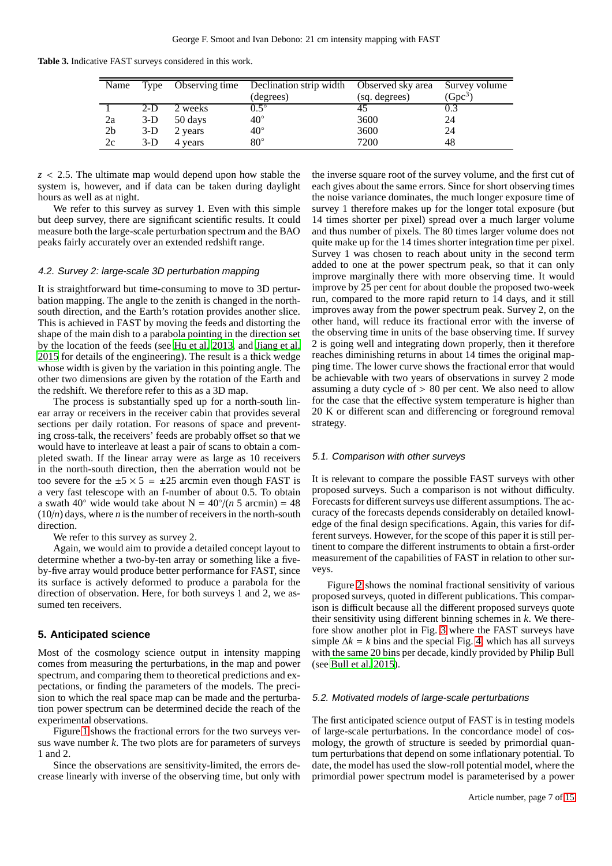**Table 3.** Indicative FAST surveys considered in this work.

<span id="page-6-1"></span>

| Name           |       |         | Type Observing time Declination strip width Observed sky area |               | Survey volume |
|----------------|-------|---------|---------------------------------------------------------------|---------------|---------------|
|                |       |         | (degrees)                                                     | (sq. degrees) | $(Gpc^3)$     |
|                | $2-D$ | 2 weeks | $0.5^\circ$                                                   |               |               |
| 2a             | $3-D$ | 50 days | $40^{\circ}$                                                  | 3600          | 24            |
| 2 <sub>b</sub> | $3-D$ | 2 years | $40^{\circ}$                                                  | 3600          | 24            |
| 2c             | $3-D$ | 4 years | $80^{\circ}$                                                  | 7200          | 48            |

*z* < 2.5. The ultimate map would depend upon how stable the system is, however, and if data can be taken during daylight hours as well as at night.

We refer to this survey as survey 1. Even with this simple but deep survey, there are significant scientific results. It could measure both the large-scale perturbation spectrum and the BAO peaks fairly accurately over an extended redshift range.

## 4.2. Survey 2: large-scale 3D perturbation mapping

It is straightforward but time-consuming to move to 3D perturbation mapping. The angle to the zenith is changed in the northsouth direction, and the Earth's rotation provides another slice. This is achieved in FAST by moving the feeds and distorting the shape of the main dish to a parabola pointing in the direction set by the location of the feeds (see [Hu et al. 2013,](#page-13-26) and [Jiang et al.](#page-13-27) [2015](#page-13-27) for details of the engineering). The result is a thick wedge whose width is given by the variation in this pointing angle. The other two dimensions are given by the rotation of the Earth and the redshift. We therefore refer to this as a 3D map.

The process is substantially sped up for a north-south linear array or receivers in the receiver cabin that provides several sections per daily rotation. For reasons of space and preventing cross-talk, the receivers' feeds are probably offset so that we would have to interleave at least a pair of scans to obtain a completed swath. If the linear array were as large as 10 receivers in the north-south direction, then the aberration would not be too severe for the  $\pm 5 \times 5 = \pm 25$  arcmin even though FAST is a very fast telescope with an f-number of about 0.5. To obtain a swath  $40^\circ$  wide would take about N =  $40^\circ/(n 5 \text{ arcmin}) = 48$  $(10/n)$  days, where *n* is the number of receivers in the north-south direction.

We refer to this survey as survey 2.

Again, we would aim to provide a detailed concept layout to determine whether a two-by-ten array or something like a fiveby-five array would produce better performance for FAST, since its surface is actively deformed to produce a parabola for the direction of observation. Here, for both surveys 1 and 2, we assumed ten receivers.

## <span id="page-6-0"></span>**5. Anticipated science**

Most of the cosmology science output in intensity mapping comes from measuring the perturbations, in the map and power spectrum, and comparing them to theoretical predictions and expectations, or finding the parameters of the models. The precision to which the real space map can be made and the perturbation power spectrum can be determined decide the reach of the experimental observations.

Figure [1](#page-7-0) shows the fractional errors for the two surveys versus wave number *k*. The two plots are for parameters of surveys 1 and 2.

Since the observations are sensitivity-limited, the errors decrease linearly with inverse of the observing time, but only with the inverse square root of the survey volume, and the first cut of each gives about the same errors. Since for short observing times the noise variance dominates, the much longer exposure time of survey 1 therefore makes up for the longer total exposure (but 14 times shorter per pixel) spread over a much larger volume and thus number of pixels. The 80 times larger volume does not quite make up for the 14 times shorter integration time per pixel. Survey 1 was chosen to reach about unity in the second term added to one at the power spectrum peak, so that it can only improve marginally there with more observing time. It would improve by 25 per cent for about double the proposed two-week run, compared to the more rapid return to 14 days, and it still improves away from the power spectrum peak. Survey 2, on the other hand, will reduce its fractional error with the inverse of the observing time in units of the base observing time. If survey 2 is going well and integrating down properly, then it therefore reaches diminishing returns in about 14 times the original mapping time. The lower curve shows the fractional error that would be achievable with two years of observations in survey 2 mode assuming a duty cycle of  $> 80$  per cent. We also need to allow for the case that the effective system temperature is higher than 20 K or different scan and differencing or foreground removal strategy.

## 5.1. Comparison with other surveys

It is relevant to compare the possible FAST surveys with other proposed surveys. Such a comparison is not without difficulty. Forecasts for different surveys use different assumptions. The accuracy of the forecasts depends considerably on detailed knowledge of the final design specifications. Again, this varies for different surveys. However, for the scope of this paper it is still pertinent to compare the different instruments to obtain a first-order measurement of the capabilities of FAST in relation to other surveys.

Figure [2](#page-8-0) shows the nominal fractional sensitivity of various proposed surveys, quoted in different publications. This comparison is difficult because all the different proposed surveys quote their sensitivity using different binning schemes in *k*. We therefore show another plot in Fig. [3](#page-9-0) where the FAST surveys have simple  $\Delta k = k$  bins and the special Fig. [4,](#page-9-1) which has all surveys with the same 20 bins per decade, kindly provided by Philip Bull (see [Bull et al. 2015\)](#page-13-9).

## 5.2. Motivated models of large-scale perturbations

The first anticipated science output of FAST is in testing models of large-scale perturbations. In the concordance model of cosmology, the growth of structure is seeded by primordial quantum perturbations that depend on some inflationary potential. To date, the model has used the slow-roll potential model, where the primordial power spectrum model is parameterised by a power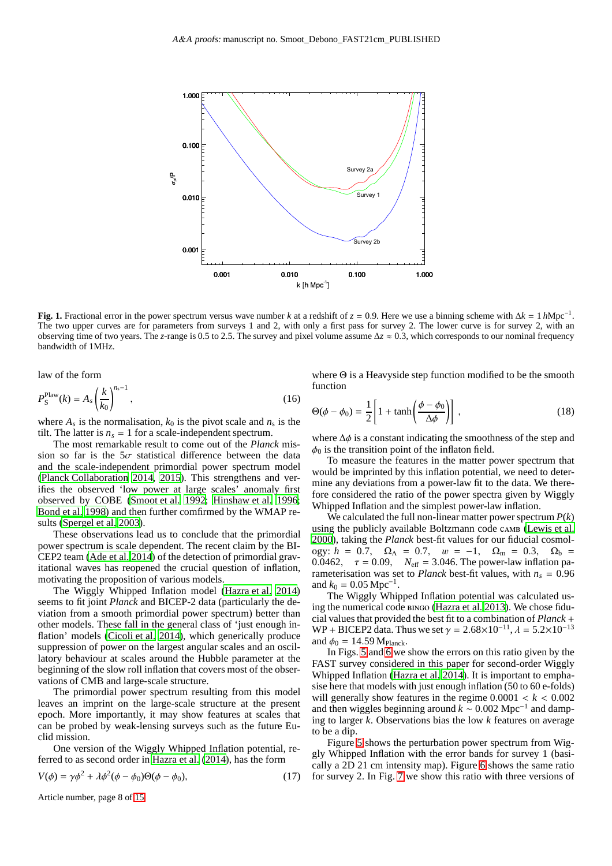

<span id="page-7-0"></span>**Fig. 1.** Fractional error in the power spectrum versus wave number *k* at a redshift of  $z = 0.9$ . Here we use a binning scheme with  $\Delta k = 1 h Mpc^{-1}$ . The two upper curves are for parameters from surveys 1 and 2, with only a first pass for survey 2. The lower curve is for survey 2, with an observing time of two years. The *z*-range is 0.5 to 2.5. The survey and pixel volume assume ∆*z* ≈ 0.3, which corresponds to our nominal frequency bandwidth of 1MHz.

law of the form

$$
P_{\rm S}^{\rm Plan}(k) = A_s \left(\frac{k}{k_0}\right)^{n_s - 1},\tag{16}
$$

where  $A_s$  is the normalisation,  $k_0$  is the pivot scale and  $n_s$  is the tilt. The latter is  $n<sub>s</sub> = 1$  for a scale-independent spectrum.

The most remarkable result to come out of the *Planck* mission so far is the  $5\sigma$  statistical difference between the data and the scale-independent primordial power spectrum model [\(Planck Collaboration 2014,](#page-14-11) [2015\)](#page-14-12). This strengthens and verifies the observed 'low power at large scales' anomaly first observed by COBE [\(Smoot et al. 1992;](#page-14-13) [Hinshaw et al. 1996](#page-13-28); [Bond et al. 1998\)](#page-13-29) and then further comfirmed by the WMAP results [\(Spergel et al. 2003\)](#page-14-14).

These observations lead us to conclude that the primordial power spectrum is scale dependent. The recent claim by the BI-CEP2 team [\(Ade et al. 2014\)](#page-13-30) of the detection of primordial gravitational waves has reopened the crucial question of inflation, motivating the proposition of various models.

The Wiggly Whipped Inflation model [\(Hazra et al. 2014\)](#page-13-31) seems to fit joint *Planck* and BICEP-2 data (particularly the deviation from a smooth primordial power spectrum) better than other models. These fall in the general class of 'just enough inflation' models [\(Cicoli et al. 2014\)](#page-13-32), which generically produce suppression of power on the largest angular scales and an oscillatory behaviour at scales around the Hubble parameter at the beginning of the slow roll inflation that covers most of the observations of CMB and large-scale structure.

The primordial power spectrum resulting from this model leaves an imprint on the large-scale structure at the present epoch. More importantly, it may show features at scales that can be probed by weak-lensing surveys such as the future Euclid mission.

One version of the Wiggly Whipped Inflation potential, referred to as second order in [Hazra et al.](#page-13-31) [\(2014\)](#page-13-31), has the form

$$
V(\phi) = \gamma \phi^2 + \lambda \phi^2 (\phi - \phi_0) \Theta(\phi - \phi_0), \qquad (17)
$$

function

$$
\Theta(\phi - \phi_0) = \frac{1}{2} \left[ 1 + \tanh\left(\frac{\phi - \phi_0}{\Delta \phi}\right) \right],\tag{18}
$$

where Θ is a Heavyside step function modified to be the smooth

where  $\Delta \phi$  is a constant indicating the smoothness of the step and  $\phi_0$  is the transition point of the inflaton field.

To measure the features in the matter power spectrum that would be imprinted by this inflation potential, we need to determine any deviations from a power-law fit to the data. We therefore considered the ratio of the power spectra given by Wiggly Whipped Inflation and the simplest power-law inflation.

We calculated the full non-linear matter power spectrum *P*(*k*) using the publicly available Boltzmann code camb [\(Lewis et al.](#page-13-33) [2000\)](#page-13-33), taking the *Planck* best-fit values for our fiducial cosmology:  $h = 0.7$ ,  $\Omega_{\Lambda} = 0.7$ ,  $w = -1$ ,  $\Omega_{\rm m} = 0.3$ ,  $\Omega_{\rm b} =$ 0.0462,  $\tau = 0.09$ ,  $N_{\text{eff}} = 3.046$ . The power-law inflation parameterisation was set to *Planck* best-fit values, with  $n_s = 0.96$ and  $k_0 = 0.05$  Mpc<sup>-1</sup> .

The Wiggly Whipped Inflation potential was calculated using the numerical code bingo [\(Hazra et al. 2013](#page-13-34)). We chose fiducial values that provided the best fit to a combination of *Planck* + WP + BICEP2 data. Thus we set  $\gamma = 2.68 \times 10^{-11}$ ,  $\lambda = 5.2 \times 10^{-13}$ and  $\phi_0 = 14.59 \,\mathrm{M}_{\mathrm{Planck}}$ .

In Figs. [5](#page-10-0) and [6](#page-10-1) we show the errors on this ratio given by the FAST survey considered in this paper for second-order Wiggly Whipped Inflation [\(Hazra et al. 2014\)](#page-13-31). It is important to emphasise here that models with just enough inflation (50 to 60 e-folds) will generally show features in the regime  $0.0001 < k < 0.002$ and then wiggles beginning around  $k \sim 0.002 \text{ Mpc}^{-1}$  and damping to larger *k*. Observations bias the low *k* features on average to be a dip.

Figure [5](#page-10-0) shows the perturbation power spectrum from Wiggly Whipped Inflation with the error bands for survey 1 (basically a 2D 21 cm intensity map). Figure [6](#page-10-1) shows the same ratio for survey 2. In Fig. [7](#page-11-0) we show this ratio with three versions of

Article number, page 8 of 15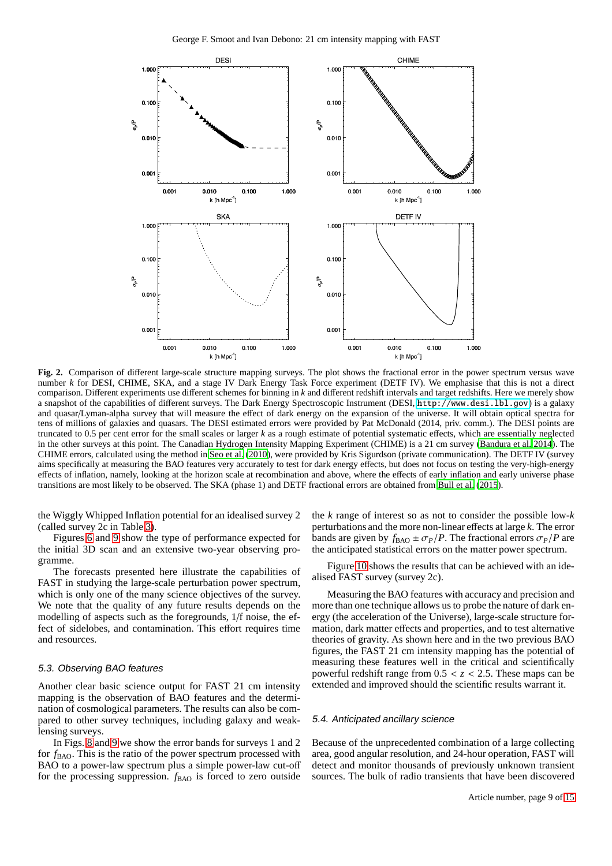

<span id="page-8-0"></span>**Fig. 2.** Comparison of different large-scale structure mapping surveys. The plot shows the fractional error in the power spectrum versus wave number *k* for DESI, CHIME, SKA, and a stage IV Dark Energy Task Force experiment (DETF IV). We emphasise that this is not a direct comparison. Different experiments use different schemes for binning in *k* and different redshift intervals and target redshifts. Here we merely show a snapshot of the capabilities of different surveys. The Dark Energy Spectroscopic Instrument (DESI, <http://www.desi.lbl.gov>) is a galaxy and quasar/Lyman-alpha survey that will measure the effect of dark energy on the expansion of the universe. It will obtain optical spectra for tens of millions of galaxies and quasars. The DESI estimated errors were provided by Pat McDonald (2014, priv. comm.). The DESI points are truncated to 0.5 per cent error for the small scales or larger *k* as a rough estimate of potential systematic effects, which are essentially neglected in the other surveys at this point. The Canadian Hydrogen Intensity Mapping Experiment (CHIME) is a 21 cm survey [\(Bandura](#page-13-5) et al. [2014\)](#page-13-5). The CHIME errors, calculated using the method in [Seo et al. \(2010\)](#page-14-15), were provided by Kris Sigurdson (private communication). The DETF IV (survey aims specifically at measuring the BAO features very accurately to test for dark energy effects, but does not focus on testing the very-high-energy effects of inflation, namely, looking at the horizon scale at recombination and above, where the effects of early inflation and early universe phase transitions are most likely to be observed. The SKA (phase 1) and DETF fractional errors are obtained from [Bull et al. \(2015](#page-13-9)).

the Wiggly Whipped Inflation potential for an idealised survey 2 (called survey 2c in Table [3\)](#page-6-1).

Figures [6](#page-10-1) and [9](#page-12-0) show the type of performance expected for the initial 3D scan and an extensive two-year observing programme.

The forecasts presented here illustrate the capabilities of FAST in studying the large-scale perturbation power spectrum, which is only one of the many science objectives of the survey. We note that the quality of any future results depends on the modelling of aspects such as the foregrounds, 1/f noise, the effect of sidelobes, and contamination. This effort requires time and resources.

## 5.3. Observing BAO features

Another clear basic science output for FAST 21 cm intensity mapping is the observation of BAO features and the determination of cosmological parameters. The results can also be compared to other survey techniques, including galaxy and weaklensing surveys.

In Figs. [8](#page-12-1) and [9](#page-12-0) we show the error bands for surveys 1 and 2 for  $f_{\text{BAO}}$ . This is the ratio of the power spectrum processed with BAO to a power-law spectrum plus a simple power-law cut-off for the processing suppression. *f*<sub>BAO</sub> is forced to zero outside the *k* range of interest so as not to consider the possible low-*k* perturbations and the more non-linear effects at large *k*. The error bands are given by  $f_{\text{BAO}} \pm \sigma_P/P$ . The fractional errors  $\sigma_P/P$  are the anticipated statistical errors on the matter power spectrum.

Figure [10](#page-13-35) shows the results that can be achieved with an idealised FAST survey (survey 2c).

Measuring the BAO features with accuracy and precision and more than one technique allows us to probe the nature of dark energy (the acceleration of the Universe), large-scale structure formation, dark matter effects and properties, and to test alternative theories of gravity. As shown here and in the two previous BAO figures, the FAST 21 cm intensity mapping has the potential of measuring these features well in the critical and scientifically powerful redshift range from  $0.5 < z < 2.5$ . These maps can be extended and improved should the scientific results warrant it.

## 5.4. Anticipated ancillary science

Because of the unprecedented combination of a large collecting area, good angular resolution, and 24-hour operation, FAST will detect and monitor thousands of previously unknown transient sources. The bulk of radio transients that have been discovered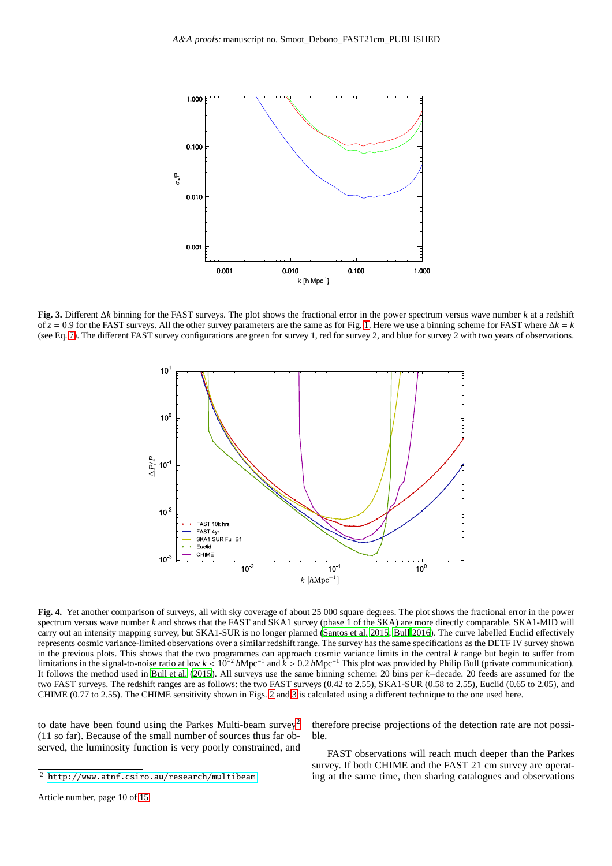

<span id="page-9-0"></span>**Fig. 3.** Different ∆*k* binning for the FAST surveys. The plot shows the fractional error in the power spectrum versus wave number *k* at a redshift of  $z = 0.9$  for the FAST surveys. All the other survey parameters are the same as for Fig. [1.](#page-7-0) Here we use a binning scheme for FAST where  $\Delta k = k$ (see Eq. [7\)](#page-3-0). The different FAST survey configurations are green for survey 1, red for survey 2, and blue for survey 2 with two years of observations.



<span id="page-9-1"></span>**Fig. 4.** Yet another comparison of surveys, all with sky coverage of about 25 000 square degrees. The plot shows the fractional error in the power spectrum versus wave number *k* and shows that the FAST and SKA1 survey (phase 1 of the SKA) are more directly comparable. SKA1-MID will carry out an intensity mapping survey, but SKA1-SUR is no longer planned [\(Santos et al. 2015](#page-14-16); [Bull 2016](#page-13-36)). The curve labelled Euclid effectively represents cosmic variance-limited observations over a similar redshift range. The survey has the same specifications as the DETF IV survey shown in the previous plots. This shows that the two programmes can approach cosmic variance limits in the central *k* range but begin to suffer from limitations in the signal-to-noise ratio at low *k* < 10−<sup>2</sup> *h*Mpc−<sup>1</sup> and *k* > 0.2 *h*Mpc−<sup>1</sup> This plot was provided by Philip Bull (private communication). It follows the method used in [Bull et al. \(2015\)](#page-13-9). All surveys use the same binning scheme: 20 bins per *k*−decade. 20 feeds are assumed for the two FAST surveys. The redshift ranges are as follows: the two FAST surveys (0.42 to 2.55), SKA1-SUR (0.58 to 2.55), Euclid (0.65 to 2.05), and CHIME (0.77 to 2.55). The CHIME sensitivity shown in Figs. [2](#page-8-0) and [3](#page-9-0) is calculated using a different technique to the one used here.

to date have been found using the Parkes Multi-beam survey<sup>[2](#page-9-2)</sup> (11 so far). Because of the small number of sources thus far observed, the luminosity function is very poorly constrained, and

<span id="page-9-2"></span><sup>2</sup> <http://www.atnf.csiro.au/research/multibeam>

therefore precise projections of the detection rate are not possible.

FAST observations will reach much deeper than the Parkes survey. If both CHIME and the FAST 21 cm survey are operating at the same time, then sharing catalogues and observations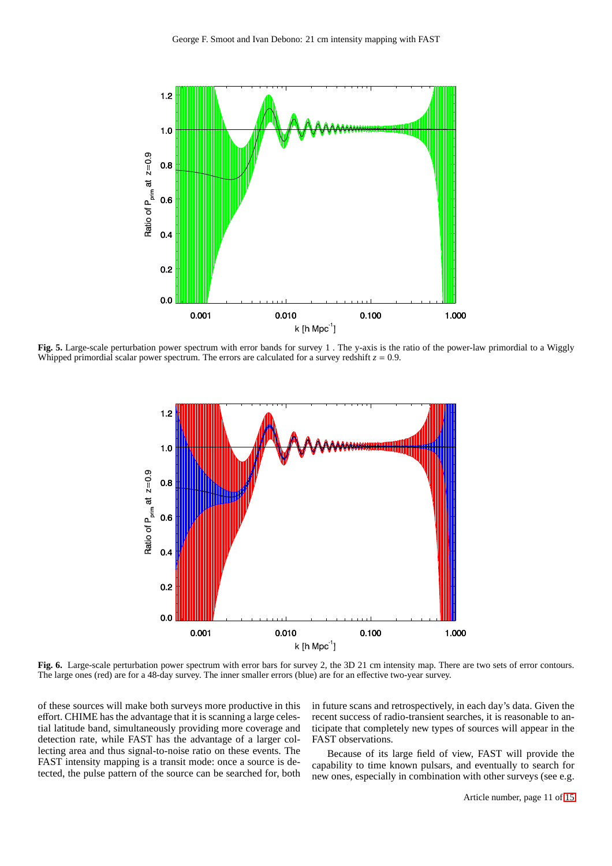

<span id="page-10-0"></span>**Fig. 5.** Large-scale perturbation power spectrum with error bands for survey 1 . The y-axis is the ratio of the power-law primordial to a Wiggly Whipped primordial scalar power spectrum. The errors are calculated for a survey redshift  $z = 0.9$ .



<span id="page-10-1"></span>**Fig. 6.** Large-scale perturbation power spectrum with error bars for survey 2, the 3D 21 cm intensity map. There are two sets of error contours. The large ones (red) are for a 48-day survey. The inner smaller errors (blue) are for an effective two-year survey.

of these sources will make both surveys more productive in this effort. CHIME has the advantage that it is scanning a large celestial latitude band, simultaneously providing more coverage and detection rate, while FAST has the advantage of a larger collecting area and thus signal-to-noise ratio on these events. The FAST intensity mapping is a transit mode: once a source is detected, the pulse pattern of the source can be searched for, both in future scans and retrospectively, in each day's data. Given the recent success of radio-transient searches, it is reasonable to anticipate that completely new types of sources will appear in the FAST observations.

Because of its large field of view, FAST will provide the capability to time known pulsars, and eventually to search for new ones, especially in combination with other surveys (see e.g.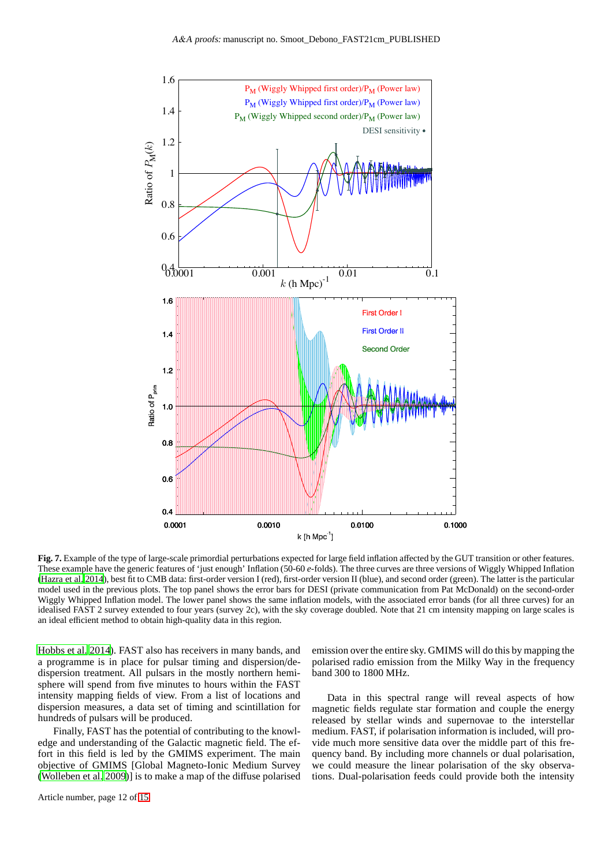

<span id="page-11-0"></span>**Fig. 7.** Example of the type of large-scale primordial perturbations expected for large field inflation affected by the GUT transition or other features. These example have the generic features of 'just enough' Inflation (50-60 *e*-folds). The three curves are three versions of Wiggly Whipped Inflation [\(Hazra et al. 2014\)](#page-13-31), best fit to CMB data: first-order version I (red), first-order version II (blue), and second order (green). The latter is the particular model used in the previous plots. The top panel shows the error bars for DESI (private communication from Pat McDonald) on the second-order Wiggly Whipped Inflation model. The lower panel shows the same inflation models, with the associated error bands (for all three curves) for an idealised FAST 2 survey extended to four years (survey 2c), with the sky coverage doubled. Note that 21 cm intensity mapping on large scales is an ideal efficient method to obtain high-quality data in this region.

[Hobbs et al. 2014](#page-13-37)). FAST also has receivers in many bands, and a programme is in place for pulsar timing and dispersion/dedispersion treatment. All pulsars in the mostly northern hemisphere will spend from five minutes to hours within the FAST intensity mapping fields of view. From a list of locations and dispersion measures, a data set of timing and scintillation for hundreds of pulsars will be produced.

Finally, FAST has the potential of contributing to the knowledge and understanding of the Galactic magnetic field. The effort in this field is led by the GMIMS experiment. The main objective of GMIMS [Global Magneto-Ionic Medium Survey [\(Wolleben et al. 2009\)](#page-14-17)] is to make a map of the diffuse polarised emission over the entire sky. GMIMS will do this by mapping the polarised radio emission from the Milky Way in the frequency band 300 to 1800 MHz.

Data in this spectral range will reveal aspects of how magnetic fields regulate star formation and couple the energy released by stellar winds and supernovae to the interstellar medium. FAST, if polarisation information is included, will provide much more sensitive data over the middle part of this frequency band. By including more channels or dual polarisation, we could measure the linear polarisation of the sky observations. Dual-polarisation feeds could provide both the intensity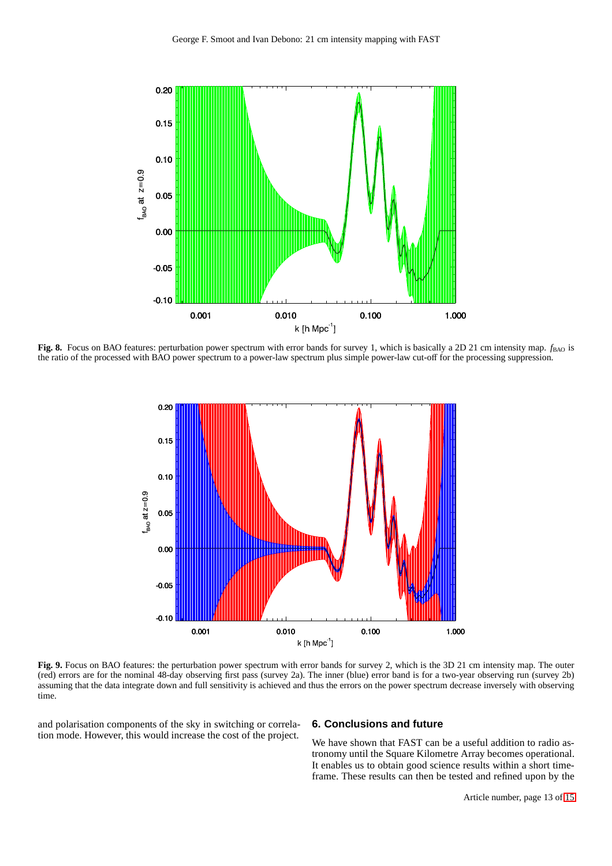

<span id="page-12-1"></span>**Fig. 8.** Focus on BAO features: perturbation power spectrum with error bands for survey 1, which is basically a 2D 21 cm intensity map.  $f_{\text{BAO}}$  is the ratio of the processed with BAO power spectrum to a power-law spectrum plus simple power-law cut-off for the processing suppression.



<span id="page-12-0"></span>**Fig. 9.** Focus on BAO features: the perturbation power spectrum with error bands for survey 2, which is the 3D 21 cm intensity map. The outer (red) errors are for the nominal 48-day observing first pass (survey 2a). The inner (blue) error band is for a two-year observing run (survey 2b) assuming that the data integrate down and full sensitivity is achieved and thus the errors on the power spectrum decrease inversely with observing time.

and polarisation components of the sky in switching or correlation mode. However, this would increase the cost of the project.

# **6. Conclusions and future**

We have shown that FAST can be a useful addition to radio astronomy until the Square Kilometre Array becomes operational. It enables us to obtain good science results within a short timeframe. These results can then be tested and refined upon by the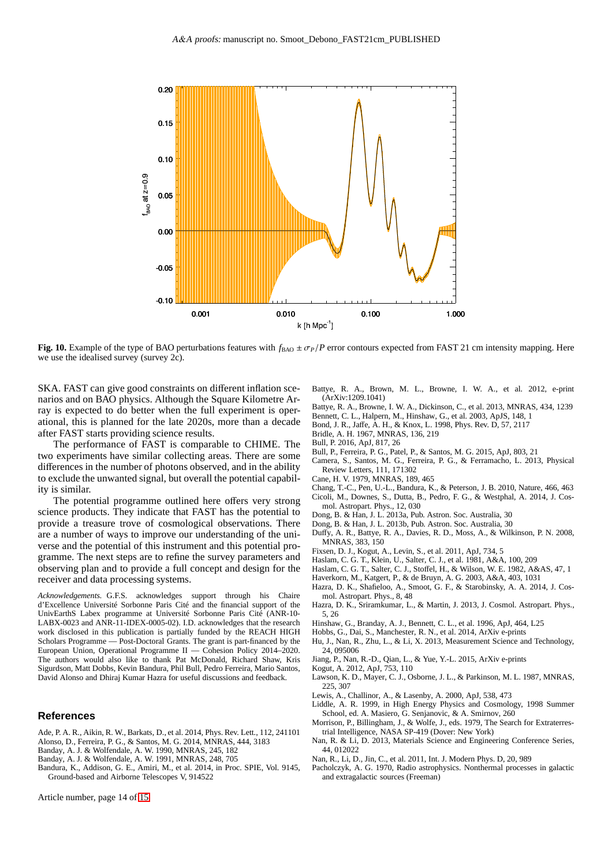

<span id="page-13-35"></span>**Fig. 10.** Example of the type of BAO perturbations features with  $f_{BAO} \pm \sigma_P/P$  error contours expected from FAST 21 cm intensity mapping. Here we use the idealised survey (survey 2c).

SKA. FAST can give good constraints on different inflation scenarios and on BAO physics. Although the Square Kilometre Array is expected to do better when the full experiment is operational, this is planned for the late 2020s, more than a decade after FAST starts providing science results.

The performance of FAST is comparable to CHIME. The two experiments have similar collecting areas. There are some differences in the number of photons observed, and in the ability to exclude the unwanted signal, but overall the potential capability is similar.

The potential programme outlined here offers very strong science products. They indicate that FAST has the potential to provide a treasure trove of cosmological observations. There are a number of ways to improve our understanding of the universe and the potential of this instrument and this potential programme. The next steps are to refine the survey parameters and observing plan and to provide a full concept and design for the receiver and data processing systems.

*Acknowledgements.* G.F.S. acknowledges support through his Chaire d'Excellence Université Sorbonne Paris Cité and the financial support of the UnivEarthS Labex programme at Université Sorbonne Paris Cité (ANR-10- LABX-0023 and ANR-11-IDEX-0005-02). I.D. acknowledges that the research work disclosed in this publication is partially funded by the REACH HIGH Scholars Programme — Post-Doctoral Grants. The grant is part-financed by the European Union, Operational Programme II — Cohesion Policy 2014–2020. The authors would also like to thank Pat McDonald, Richard Shaw, Kris Sigurdson, Matt Dobbs, Kevin Bandura, Phil Bull, Pedro Ferreira, Mario Santos, David Alonso and Dhiraj Kumar Hazra for useful discussions and feedback.

## **References**

- <span id="page-13-30"></span>Ade, P. A. R., Aikin, R. W., Barkats, D., et al. 2014, Phys. Rev. Lett., 112, 241101 Alonso, D., Ferreira, P. G., & Santos, M. G. 2014, MNRAS, 444, 3183
- <span id="page-13-23"></span><span id="page-13-12"></span>Banday, A. J. & Wolfendale, A. W. 1990, MNRAS, 245, 182
- <span id="page-13-13"></span>Banday, A. J. & Wolfendale, A. W. 1991, MNRAS, 248, 705
- <span id="page-13-5"></span>Bandura, K., Addison, G. E., Amiri, M., et al. 2014, in Proc. SPIE, Vol. 9145, Ground-based and Airborne Telescopes V, 914522

<span id="page-13-10"></span>Battye, R. A., Brown, M. L., Browne, I. W. A., et al. 2012, e-print (ArXiv:1209.1041)

- <span id="page-13-8"></span>Battye, R. A., Browne, I. W. A., Dickinson, C., et al. 2013, MNRAS, 434, 1239
- <span id="page-13-20"></span>Bennett, C. L., Halpern, M., Hinshaw, G., et al. 2003, ApJS, 148, 1
- <span id="page-13-29"></span>Bond, J. R., Jaffe, A. H., & Knox, L. 1998, Phys. Rev. D, 57, 2117
- <span id="page-13-17"></span>Bridle, A. H. 1967, MNRAS, 136, 219
- <span id="page-13-36"></span>Bull, P. 2016, ApJ, 817, 26
- <span id="page-13-9"></span>Bull, P., Ferreira, P. G., Patel, P., & Santos, M. G. 2015, ApJ, 803, 21
- <span id="page-13-3"></span>Camera, S., Santos, M. G., Ferreira, P. G., & Ferramacho, L. 2013, Physical Review Letters, 111, 171302
- <span id="page-13-22"></span>Cane, H. V. 1979, MNRAS, 189, 465
- <span id="page-13-32"></span><span id="page-13-0"></span>Chang, T.-C., Pen, U.-L., Bandura, K., & Peterson, J. B. 2010, Nature, 466, 463 Cicoli, M., Downes, S., Dutta, B., Pedro, F. G., & Westphal, A. 2014, J. Cosmol. Astropart. Phys., 12, 030
- <span id="page-13-24"></span>Dong, B. & Han, J. L. 2013a, Pub. Astron. Soc. Australia, 30
- <span id="page-13-25"></span>Dong, B. & Han, J. L. 2013b, Pub. Astron. Soc. Australia, 30
- <span id="page-13-4"></span>Duffy, A. R., Battye, R. A., Davies, R. D., Moss, A., & Wilkinson, P. N. 2008, MNRAS, 383, 150
- <span id="page-13-21"></span>Fixsen, D. J., Kogut, A., Levin, S., et al. 2011, ApJ, 734, 5
- <span id="page-13-14"></span>Haslam, C. G. T., Klein, U., Salter, C. J., et al. 1981, A&A, 100, 209
- <span id="page-13-15"></span>Haslam, C. G. T., Salter, C. J., Stoffel, H., & Wilson, W. E. 1982, A&AS, 47, 1
- <span id="page-13-16"></span>Haverkorn, M., Katgert, P., & de Bruyn, A. G. 2003, A&A, 403, 1031
- <span id="page-13-31"></span>Hazra, D. K., Shafieloo, A., Smoot, G. F., & Starobinsky, A. A. 2014, J. Cosmol. Astropart. Phys., 8, 48
- <span id="page-13-34"></span>Hazra, D. K., Sriramkumar, L., & Martin, J. 2013, J. Cosmol. Astropart. Phys., 5, 26
- <span id="page-13-28"></span>Hinshaw, G., Branday, A. J., Bennett, C. L., et al. 1996, ApJ, 464, L25
- <span id="page-13-37"></span>Hobbs, G., Dai, S., Manchester, R. N., et al. 2014, ArXiv e-prints
- <span id="page-13-26"></span>Hu, J., Nan, R., Zhu, L., & Li, X. 2013, Measurement Science and Technology, 24, 095006
- <span id="page-13-27"></span>Jiang, P., Nan, R.-D., Qian, L., & Yue, Y.-L. 2015, ArXiv e-prints
- <span id="page-13-19"></span>Kogut, A. 2012, ApJ, 753, 110
- <span id="page-13-18"></span>Lawson, K. D., Mayer, C. J., Osborne, J. L., & Parkinson, M. L. 1987, MNRAS, 225, 307
- <span id="page-13-33"></span>Lewis, A., Challinor, A., & Lasenby, A. 2000, ApJ, 538, 473
- <span id="page-13-6"></span>Liddle, A. R. 1999, in High Energy Physics and Cosmology, 1998 Summer School, ed. A. Masiero, G. Senjanovic, & A. Smirnov, 260
- <span id="page-13-7"></span>Morrison, P., Billingham, J., & Wolfe, J., eds. 1979, The Search for Extraterrestrial Intelligence, NASA SP-419 (Dover: New York)
- <span id="page-13-2"></span>Nan, R. & Li, D. 2013, Materials Science and Engineering Conference Series, 44, 012022
- <span id="page-13-1"></span>Nan, R., Li, D., Jin, C., et al. 2011, Int. J. Modern Phys. D, 20, 989
- <span id="page-13-11"></span>Pacholczyk, A. G. 1970, Radio astrophysics. Nonthermal processes in galactic and extragalactic sources (Freeman)